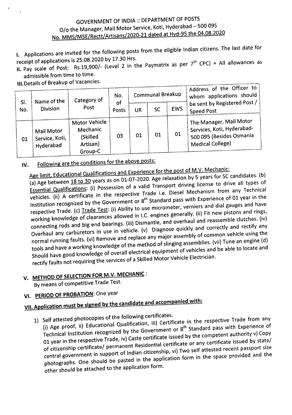#### GOVERNMENT OF INDIA :: DEPARTMENT OF POSTS O/o the Manager, Mail Motor Service, Koti, Hyderabad - 500 095 No. MMS/MSE/Rectt/Artisans/2020-21 dated at Hyd-95 the 04.08.2020

I. Applications are invited for the following posts from the eligible Indian citizens. The last date for

receipt of applications is 25.08.2020 by 17.30 Hrs.<br>IL Pay scale of Post: Rs.19,900/- (Level 2 in the Paymatrix as per 7<sup>th</sup> CPC) + All allowances as

admissible from time to time.

III.Details of Breakup of Vacancies.

| SI. | Name of the                                      | Category of                                                  | No.         | Communal Breakup |           |            | Address of the Officer to<br>whom applications should                                                        |
|-----|--------------------------------------------------|--------------------------------------------------------------|-------------|------------------|-----------|------------|--------------------------------------------------------------------------------------------------------------|
| No. | <b>Division</b>                                  | Post                                                         | of<br>Posts | UR               | <b>SC</b> | <b>EWS</b> | be sent by Registered Post /<br><b>Speed Post</b>                                                            |
| 01  | <b>Mail Motor</b><br>Service, Koti,<br>Hyderabad | Motor Vehicle<br>Mechanic<br>(Skilled<br>Artisan)<br>Group-C | 03          | 01               | 01        | 01         | The Manager, Mail Motor<br>Services, Koti, Hyderabad-<br>500 095 (Besides Osmania<br><b>Medical College)</b> |

IV. Following are the conditions for the above posts:

Age limit, Educational Qualifications and Experience for the post of M.V. Mechanic:

(a) Age between  $\underline{18}$  to  $\underline{30}$  years as on 01-07-2020. Age relaxation by 5 years for SC candidates. (b) Essential Qualifications: (i) Possession of a valid Transport driving license to drive all types of vehicles. (ii) A certificate in the respective Trade i.e. Diesel Mechanism from any Technical Institution recognized by the Government or  $8^{th}$  Standard pass with Experience of 01 year in the respective Trade. (c) Trade Test: (i) Ability to use micrometer, verniers and dial gauges and have working knowledge of clearances allowed in l.C, engines generally. (ii) Fit new pistons and rings, connecting rods and big end bearings. (iii) Dismantle, and overhaul and reassemble clutches. (iv) Overhaul any carburetors in use in vehicle. (v) Diagnose quickly and correctly and rectify any normal running faults. (vi) Remove and replace any major assembly of common vehicle using the tools and have a working knowledge of the method of slinging assemblies.(vii) Tune an engine (d) Should have good knowledge of overall electrical equipment of vehicles and be able to locate and rectify faults not requiring the services of a Skilled Motor Vehicle Electrician.

# V. METHOD OF SELECTION FOR M.V. MECHANIC:

By means of competitive Trade Test.

# VI. PERIOD OF PROBATION: One year

# VII. Application must be signed by the candidate and accompanied with:

- 1) Self attested photocopies of the following certificates.
- (i) Age proof, ii) Educational Qualification, iii) Certificate in the respective Trade from any Technical Institution recognized by the Government or 8<sup>th</sup> Standard pass with Experience of 01 year in the respective Trade, iv) Caste certificate issued by the competent authority v) Copy of citizenship certificate/ permanent Residential certificate or any certificate issued by state/ central government in support of Indian citizenship, vi) Two self attested recent passport size photographs. One should be pasted in the application form in the space provided and the other should be attached to the application form.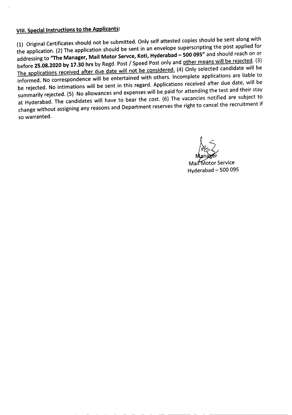### VIII. Special Instructions to the Applicants:

(1) Original Certificates should not be submitted. Only self attested copies should be sent along with the application. (2) The application should be sent in an envelope superscripting the post applied for addressing to "The Manager, Mail Motor Servce, Koti, Hyderabad - 500 095" and should reach on or before 25.08.2020 by 17.30 hrs by Regd. Post / Speed Post only and other means will be rejected. (3) The applications received after due date will not be considered. (4) Only selected candidate will be informed. No correspondence will be entertained with others. Incomplete applications are liable to be rejected. No intimations will be sent in this regard. Applications received after due date, will be summarily rejected. (5) No allowances and expenses will be paid for attending the test and their stay at Hyderabad. The candidates will have to bear the cost. (6) The vacancies notified are subject to change without assigning any reasons and Department reserves the right to cancel the recruitment if so warranted.

 $\overline{\phantom{a}}$ r

Mail Motor Service Hyderabad - 500 095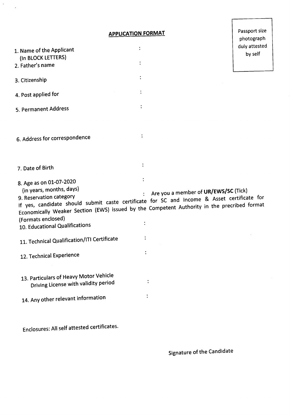**APPLICATION FORMAT**

 $\hat{\boldsymbol{\theta}}$ 

 $\sim$   $\lambda$ 

Passport size

|                                                                                             |                | photograph                           |
|---------------------------------------------------------------------------------------------|----------------|--------------------------------------|
|                                                                                             |                | duly attested                        |
| 1. Name of the Applicant<br>(In BLOCK LETTERS)                                              |                | by self                              |
| 2. Father's name                                                                            |                |                                      |
|                                                                                             |                |                                      |
| 3. Citizenship                                                                              |                |                                      |
| 4. Post applied for                                                                         |                |                                      |
| 5. Permanent Address                                                                        |                |                                      |
|                                                                                             |                |                                      |
| 6. Address for correspondence                                                               |                |                                      |
|                                                                                             |                |                                      |
| 7. Date of Birth                                                                            |                |                                      |
| 8. Age as on 01-07-2020                                                                     |                |                                      |
| (in years, months, days)                                                                    |                | Are you a member of UR/EWS/SC (Tick) |
| If yes, candidate should submit caste certificate for SC and Income & Asset certificate for |                |                                      |
| Economically Weaker Section (EWS) issued by the Competent Authority in the precribed format |                |                                      |
| (Formats enclosed)                                                                          |                |                                      |
| 10. Educational Qualifications                                                              |                |                                      |
| 11. Technical Qualification/ITI Certificate                                                 |                |                                      |
| 12. Technical Experience                                                                    |                |                                      |
|                                                                                             |                |                                      |
| 13. Particulars of Heavy Motor Vehicle<br>Driving License with validity period              | $\ddot{\cdot}$ |                                      |
|                                                                                             |                |                                      |
| 14. Any other relevant information                                                          | $\ddot{\cdot}$ |                                      |
|                                                                                             |                |                                      |
| Enclosures: All self attested certificates.                                                 |                |                                      |

Signature of the Candidate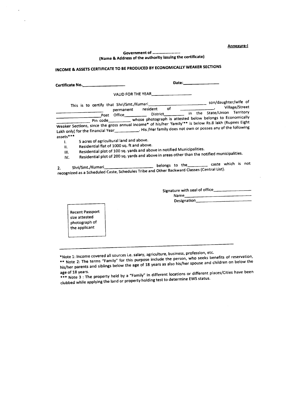Annexure-I

#### Government of ............................. (Name & Address of the authority issuing the certificate)

## INCOME & ASSETS CERTIFICATE TO BE PRODUCED BY ECONOMICALLY WEAKER SECTIONS

|                                                                                                                               | Date:<br>the control of the company of                                                                                                                                                                                                                                                                                                                                               |
|-------------------------------------------------------------------------------------------------------------------------------|--------------------------------------------------------------------------------------------------------------------------------------------------------------------------------------------------------------------------------------------------------------------------------------------------------------------------------------------------------------------------------------|
|                                                                                                                               | Post Office_____________ District___________ in the State/Union Territory<br>Pin code____________ whose photograph is attested below belongs to Economically<br>Weaker Sections, since the gross annual income* of his/her 'family'** is below Rs.8 lakh (Rupees Eight<br>Lakh only) for the financial Year____________. His /Her family does not own or posses any of the following |
| assets***<br>5 acres of agricultural land and above.<br>ŧ.<br>Residential flat of 1000 sq. ft and above.<br>H.<br>III.<br>IV. | Residential plot of 100 sq. yards and above in notified Municipalities.<br>Residential plot of 200 sq. yards and above in areas other than the notified municipalities.<br>Shri/Smt./Kumari__________________________belongs to the__________ caste which is not<br>recognized as a Scheduled Caste, Schedules Tribe and Other Backward Classes (Central List).                      |

Signaturewith sealof office \_ Name \_\_\_

Designation\_

Recent Passport size attested photograph of the applicant

\*Note 1: Income covered all sources i.e. salary, agriculture, business, profession, etc.

..... The terms "Family" for this purpose include the person, who seeks benefits of reservation, his/her parents and siblings below the age of 18 years as also his/her spouse and children on below the

ageof 18 years. ...... Note 3 : The property held by a "Family" in different locations or different places/Citieshave been clubbed while applying the land or property holding test to determine EWS status.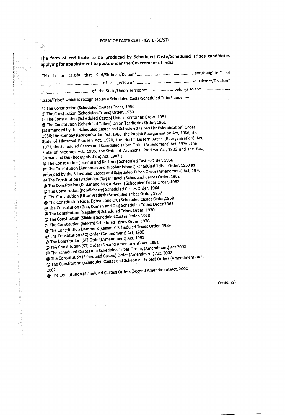#### FORM OF CASTE CERTIFICATE (SC/ST)

 $\begin{bmatrix} \frac{\partial \mathcal{L}}{\partial x} & \mathcal{L} \mathcal{L} \\ \frac{\partial \mathcal{L}}{\partial x} & \frac{\partial \mathcal{L}}{\partial y} \end{bmatrix}$ 

0.32732733

医异体静脉瘤 医心脏

The form of certificate to be produced by Scheduled Caste/Scheduled Tribes candidates applying for appointment to posts under the Government of India

| Caste/Tribe* which is recognised as a Scheduled Caste/Scheduled Tribe* under:-                                                                                                                                                                                                                                                                                                                                                                                                                                                                                                                                                                                                                                                                                                                                                                                                                                                                                                                                                                                                                                                                                                                                                                                                                                                                                                                                                                                                                                                                                                                                                                                                                                                                                                                                                                                                                                                                                                                                                                                                                                                                                                                               |          |
|--------------------------------------------------------------------------------------------------------------------------------------------------------------------------------------------------------------------------------------------------------------------------------------------------------------------------------------------------------------------------------------------------------------------------------------------------------------------------------------------------------------------------------------------------------------------------------------------------------------------------------------------------------------------------------------------------------------------------------------------------------------------------------------------------------------------------------------------------------------------------------------------------------------------------------------------------------------------------------------------------------------------------------------------------------------------------------------------------------------------------------------------------------------------------------------------------------------------------------------------------------------------------------------------------------------------------------------------------------------------------------------------------------------------------------------------------------------------------------------------------------------------------------------------------------------------------------------------------------------------------------------------------------------------------------------------------------------------------------------------------------------------------------------------------------------------------------------------------------------------------------------------------------------------------------------------------------------------------------------------------------------------------------------------------------------------------------------------------------------------------------------------------------------------------------------------------------------|----------|
| @ The Constitution (Scheduled Castes) Order, 1950<br>@ The Constitution (Scheduled Tribes) Order, 1950<br>@ The Constitution (Scheduled Castes) Union Territories Order, 1951<br>@ The Constitution (Scheduled Tribes) Union Territories Order, 1951<br>[as amended by the Scheduled Castes and Scheduled Tribes List (Modification) Order,<br>1956; the Bombay Reorganisation Act, 1960, the Punjab Reorganisation Act, 1966, the<br>State of Himachal Pradesh Act, 1970, the North Eastern Areas (Reorganisation) Act,<br>1971, the Scheduled Castes and Scheduled Tribes Order (Amendment) Act, 1976., the<br>State of Mizoram Act, 1986, the State of Arunachal Pradesh Act, 1986 and the Goa,<br>Daman and Diu (Reorganisation) Act, 1987.]<br>@ The Constitution (Jammu and Kashmir) Scheduled Castes Order, 1956<br>@ The Constitution (Andaman and Nicobar Islands) Scheduled Tribes Order, 1959 as<br>amended by the Scheduled Castes and Scheduled Tribes Order (Amendment) Act, 1976<br>@ The Constitution (Dadar and Nagar Haveli) Scheduled Castes Order, 1962<br>@ The Constitution (Dadar and Nagar Haveli) Scheduled Tribes Order, 1962<br>@ The Constitution (Pondicherry) Scheduled Castes Order, 1964<br>@ The Constitution (Uttar Pradesh) Scheduled Tribes Order, 1967<br>@ The Constitution (Goa, Daman and Diu) Scheduled Castes Order, 1968<br>@ The Constitution (Goa, Daman and Diu) Scheduled Tribes Order, 1968<br>@ The Constitution (Nagaland) Scheduled Tribes Order, 1970<br>@ The Constitution (Sikkim) Scheduled Castes Order, 1978<br>@ The Constitution (Sikkim) Scheduled Tribes Order, 1978<br>@ The Constitution (Jammu & Kashmir) Scheduled Tribes Order, 1989<br>@ The Constitution (SC) Order (Amendment) Act, 1990<br>@ The Constitution (ST) Order (Amendment) Act, 1991<br>@ The Constitution (ST) Order (Second Amendment) Act, 1991<br>@ The Scheduled Castes and Scheduled Tribes Orders (Amendment) Act 2002<br>@ The Constitution (Scheduled Castes) Order (Amendment) Act, 2002<br>@ The Constitution (Scheduled Castes and Scheduled Tribes) Orders (Amendment) Act,<br>@ The Constitution (Scheduled Castes) Orders (Second Amendment)Act, 2002<br>2002 | Contd2/- |
|                                                                                                                                                                                                                                                                                                                                                                                                                                                                                                                                                                                                                                                                                                                                                                                                                                                                                                                                                                                                                                                                                                                                                                                                                                                                                                                                                                                                                                                                                                                                                                                                                                                                                                                                                                                                                                                                                                                                                                                                                                                                                                                                                                                                              |          |